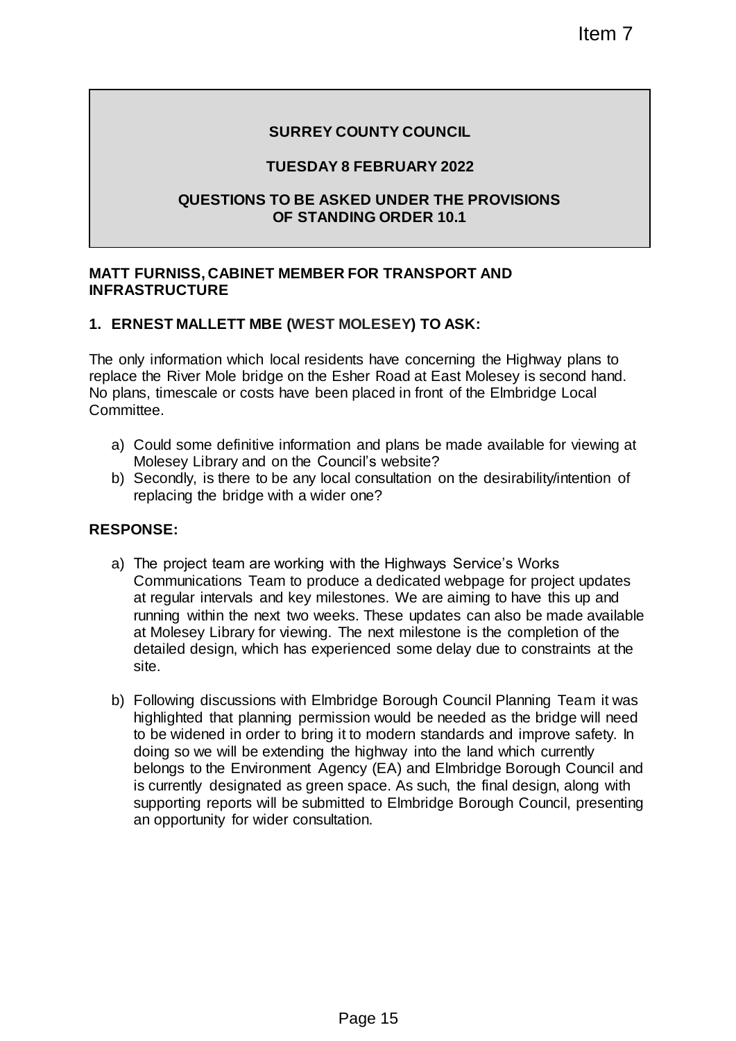### **SURREY COUNTY COUNCIL**

### **TUESDAY 8 FEBRUARY 2022**

#### **QUESTIONS TO BE ASKED UNDER THE PROVISIONS OF STANDING ORDER 10.1**

### **MATT FURNISS, CABINET MEMBER FOR TRANSPORT AND INFRASTRUCTURE**

### **1. ERNEST MALLETT MBE (WEST MOLESEY) TO ASK:**

The only information which local residents have concerning the Highway plans to replace the River Mole bridge on the Esher Road at East Molesey is second hand. No plans, timescale or costs have been placed in front of the Elmbridge Local **Committee.** 

- a) Could some definitive information and plans be made available for viewing at Molesey Library and on the Council's website?
- b) Secondly, is there to be any local consultation on the desirability/intention of replacing the bridge with a wider one?

#### **RESPONSE:**

- a) The project team are working with the Highways Service's Works Communications Team to produce a dedicated webpage for project updates at regular intervals and key milestones. We are aiming to have this up and running within the next two weeks. These updates can also be made available at Molesey Library for viewing. The next milestone is the completion of the detailed design, which has experienced some delay due to constraints at the site.
- b) Following discussions with Elmbridge Borough Council Planning Team it was highlighted that planning permission would be needed as the bridge will need to be widened in order to bring it to modern standards and improve safety. In doing so we will be extending the highway into the land which currently belongs to the Environment Agency (EA) and Elmbridge Borough Council and is currently designated as green space. As such, the final design, along with supporting reports will be submitted to Elmbridge Borough Council, presenting an opportunity for wider consultation. Item 7<br>
SEBERUARY 2022<br>
KED UNDER THE PROVISIONS<br>
NING ORDER 10.1<br>
RIVER THE PROVISIONS<br>
NING ORDER 10.1<br>
NINGLESEY) TO ASK:<br>
SING THE ANSPORT AND<br>
MOLESEY) TO ASK:<br>
SING THE AND MORE THE HIGHWAY plans to<br>
since the Road a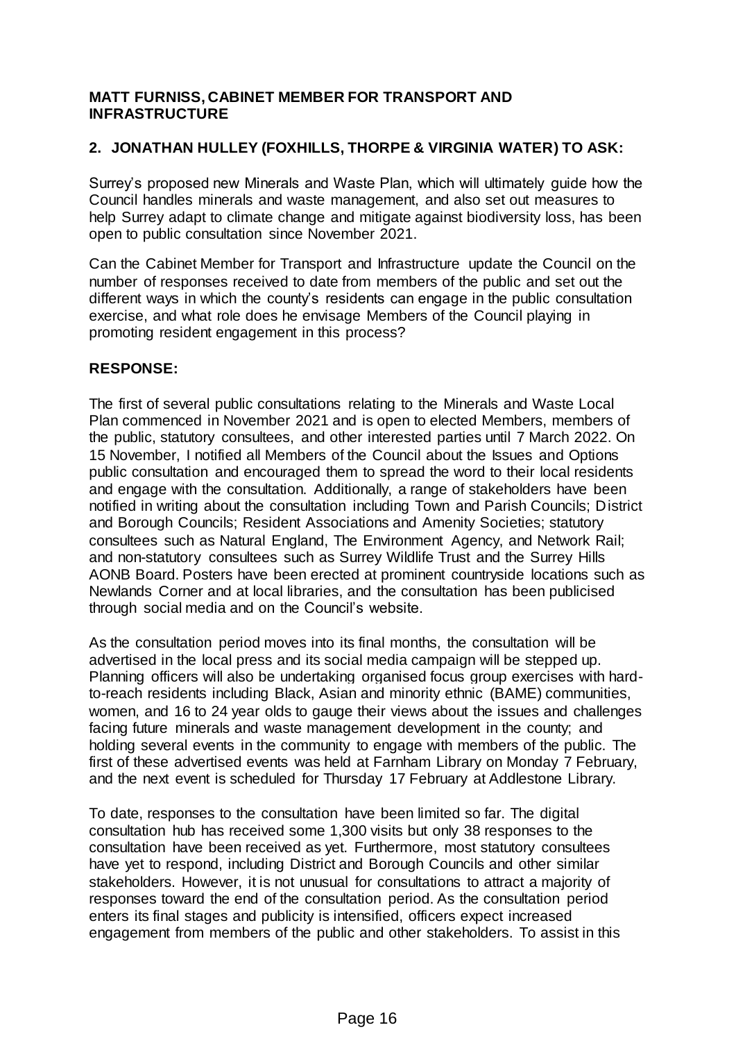### **MATT FURNISS, CABINET MEMBER FOR TRANSPORT AND INFRASTRUCTURE**

# **2. JONATHAN HULLEY (FOXHILLS, THORPE & VIRGINIA WATER) TO ASK:**

Surrey's proposed new Minerals and Waste Plan, which will ultimately guide how the Council handles minerals and waste management, and also set out measures to help Surrey adapt to climate change and mitigate against biodiversity loss, has been open to public consultation since November 2021.

Can the Cabinet Member for Transport and Infrastructure update the Council on the number of responses received to date from members of the public and set out the different ways in which the county's residents can engage in the public consultation exercise, and what role does he envisage Members of the Council playing in promoting resident engagement in this process?

### **RESPONSE:**

The first of several public consultations relating to the Minerals and Waste Local Plan commenced in November 2021 and is open to elected Members, members of the public, statutory consultees, and other interested parties until 7 March 2022. On 15 November, I notified all Members of the Council about the Issues and Options public consultation and encouraged them to spread the word to their local residents and engage with the consultation. Additionally, a range of stakeholders have been notified in writing about the consultation including Town and Parish Councils; District and Borough Councils; Resident Associations and Amenity Societies; statutory consultees such as Natural England, The Environment Agency, and Network Rail; and non-statutory consultees such as Surrey Wildlife Trust and the Surrey Hills AONB Board. Posters have been erected at prominent countryside locations such as Newlands Corner and at local libraries, and the consultation has been publicised through social media and on the Council's website.

As the consultation period moves into its final months, the consultation will be advertised in the local press and its social media campaign will be stepped up. Planning officers will also be undertaking organised focus group exercises with hardto-reach residents including Black, Asian and minority ethnic (BAME) communities, women, and 16 to 24 year olds to gauge their views about the issues and challenges facing future minerals and waste management development in the county; and holding several events in the community to engage with members of the public. The first of these advertised events was held at Farnham Library on Monday 7 February, and the next event is scheduled for Thursday 17 February at Addlestone Library.

To date, responses to the consultation have been limited so far. The digital consultation hub has received some 1,300 visits but only 38 responses to the consultation have been received as yet. Furthermore, most statutory consultees have yet to respond, including District and Borough Councils and other similar stakeholders. However, it is not unusual for consultations to attract a majority of responses toward the end of the consultation period. As the consultation period enters its final stages and publicity is intensified, officers expect increased engagement from members of the public and other stakeholders. To assist in this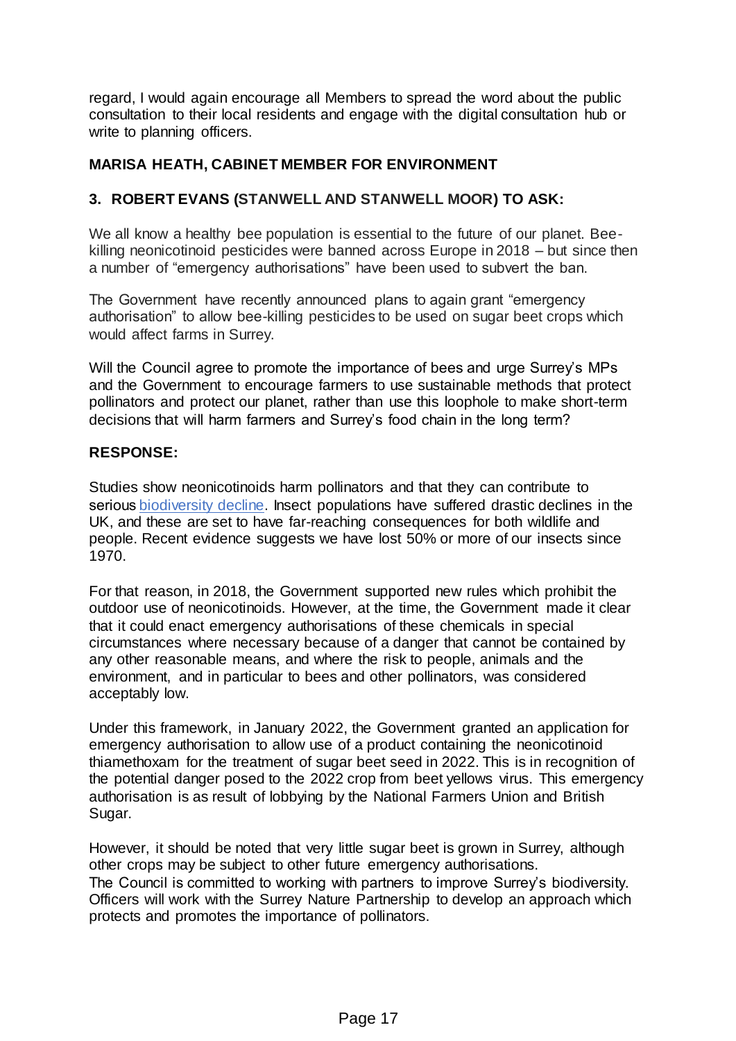regard, I would again encourage all Members to spread the word about the public consultation to their local residents and engage with the digital consultation hub or write to planning officers.

### **MARISA HEATH, CABINET MEMBER FOR ENVIRONMENT**

### **3. ROBERT EVANS (STANWELL AND STANWELL MOOR) TO ASK:**

We all know a healthy bee population is essential to the future of our planet. Beekilling neonicotinoid pesticides were banned across Europe in 2018 – but since then a number of "emergency authorisations" have been used to subvert the ban.

The Government have recently announced plans to again grant "emergency authorisation" to allow bee-killing pesticides to be used on sugar beet crops which would affect farms in Surrey.

Will the Council agree to promote the importance of bees and urge Surrey's MPs and the Government to encourage farmers to use sustainable methods that protect pollinators and protect our planet, rather than use this loophole to make short-term decisions that will harm farmers and Surrey's food chain in the long term?

#### **RESPONSE:**

Studies show neonicotinoids harm pollinators and that they can contribute to serious biodiversity decline. Insect populations have suffered drastic declines in the UK, and these are set to have far-reaching consequences for both wildlife and people. Recent evidence suggests we have lost 50% or more of our insects since 1970.

For that reason, in 2018, the Government supported new rules which prohibit the outdoor use of neonicotinoids. However, at the time, the Government made it clear that it could enact emergency authorisations of these chemicals in special circumstances where necessary because of a danger that cannot be contained by any other reasonable means, and where the risk to people, animals and the environment, and in particular to bees and other pollinators, was considered acceptably low.

Under this framework, in January 2022, the Government granted an application for emergency authorisation to allow use of a product containing the neonicotinoid thiamethoxam for the treatment of sugar beet seed in 2022. This is in recognition of the potential danger posed to the 2022 crop from beet yellows virus. This emergency authorisation is as result of lobbying by the National Farmers Union and British Sugar.

However, it should be noted that very little sugar beet is grown in Surrey, although other crops may be subject to other future emergency authorisations. The Council is committed to working with partners to improve Surrey's biodiversity. Officers will work with the Surrey Nature Partnership to develop an approach which protects and promotes the importance of pollinators.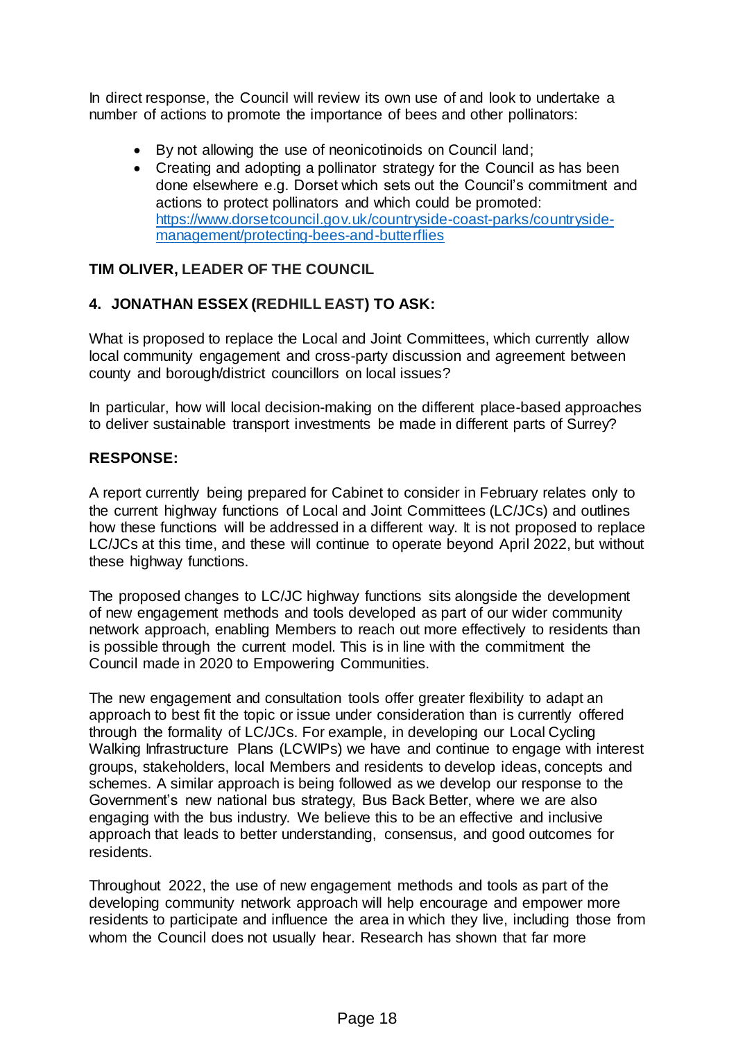In direct response, the Council will review its own use of and look to undertake a number of actions to promote the importance of bees and other pollinators:

- By not allowing the use of neonicotinoids on Council land;
- Creating and adopting a pollinator strategy for the Council as has been done elsewhere e.g. Dorset which sets out the Council's commitment and actions to protect pollinators and which could be promoted: [https://www.dorsetcouncil.gov.uk/countryside-coast-parks/countryside](https://www.dorsetcouncil.gov.uk/countryside-coast-parks/countryside-management/protecting-bees-and-butterflies)[management/protecting-bees-and-butterflies](https://www.dorsetcouncil.gov.uk/countryside-coast-parks/countryside-management/protecting-bees-and-butterflies)

# **TIM OLIVER, LEADER OF THE COUNCIL**

# **4. JONATHAN ESSEX (REDHILL EAST) TO ASK:**

What is proposed to replace the Local and Joint Committees, which currently allow local community engagement and cross-party discussion and agreement between county and borough/district councillors on local issues?

In particular, how will local decision-making on the different place-based approaches to deliver sustainable transport investments be made in different parts of Surrey?

### **RESPONSE:**

A report currently being prepared for Cabinet to consider in February relates only to the current highway functions of Local and Joint Committees (LC/JCs) and outlines how these functions will be addressed in a different way. It is not proposed to replace LC/JCs at this time, and these will continue to operate beyond April 2022, but without these highway functions.

The proposed changes to LC/JC highway functions sits alongside the development of new engagement methods and tools developed as part of our wider community network approach, enabling Members to reach out more effectively to residents than is possible through the current model. This is in line with the commitment the Council made in 2020 to Empowering Communities.

The new engagement and consultation tools offer greater flexibility to adapt an approach to best fit the topic or issue under consideration than is currently offered through the formality of LC/JCs. For example, in developing our Local Cycling Walking Infrastructure Plans (LCWIPs) we have and continue to engage with interest groups, stakeholders, local Members and residents to develop ideas, concepts and schemes. A similar approach is being followed as we develop our response to the Government's new national bus strategy, Bus Back Better, where we are also engaging with the bus industry. We believe this to be an effective and inclusive approach that leads to better understanding, consensus, and good outcomes for residents.

Throughout 2022, the use of new engagement methods and tools as part of the developing community network approach will help encourage and empower more residents to participate and influence the area in which they live, including those from whom the Council does not usually hear. Research has shown that far more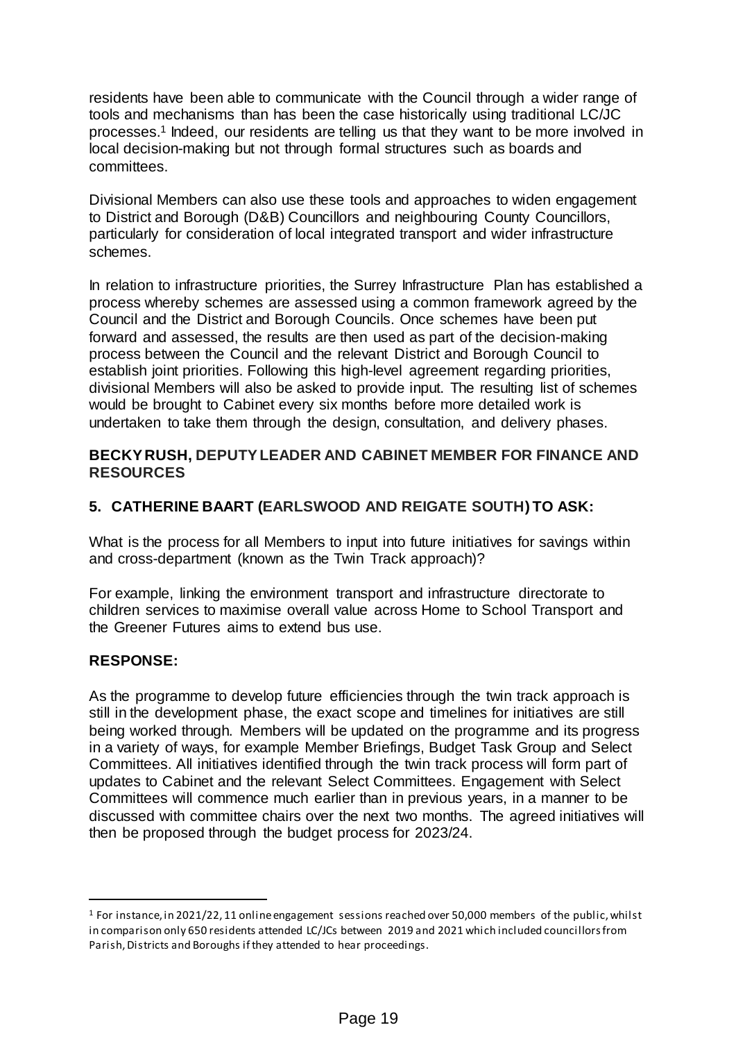residents have been able to communicate with the Council through a wider range of tools and mechanisms than has been the case historically using traditional LC/JC processes.<sup>1</sup> Indeed, our residents are telling us that they want to be more involved in local decision-making but not through formal structures such as boards and committees.

Divisional Members can also use these tools and approaches to widen engagement to District and Borough (D&B) Councillors and neighbouring County Councillors, particularly for consideration of local integrated transport and wider infrastructure schemes.

In relation to infrastructure priorities, the Surrey Infrastructure Plan has established a process whereby schemes are assessed using a common framework agreed by the Council and the District and Borough Councils. Once schemes have been put forward and assessed, the results are then used as part of the decision-making process between the Council and the relevant District and Borough Council to establish joint priorities. Following this high-level agreement regarding priorities, divisional Members will also be asked to provide input. The resulting list of schemes would be brought to Cabinet every six months before more detailed work is undertaken to take them through the design, consultation, and delivery phases.

### **BECKY RUSH, DEPUTY LEADER AND CABINET MEMBER FOR FINANCE AND RESOURCES**

# **5. CATHERINE BAART (EARLSWOOD AND REIGATE SOUTH) TO ASK:**

What is the process for all Members to input into future initiatives for savings within and cross-department (known as the Twin Track approach)?

For example, linking the environment transport and infrastructure directorate to children services to maximise overall value across Home to School Transport and the Greener Futures aims to extend bus use.

# **RESPONSE:**

 $\overline{a}$ 

As the programme to develop future efficiencies through the twin track approach is still in the development phase, the exact scope and timelines for initiatives are still being worked through. Members will be updated on the programme and its progress in a variety of ways, for example Member Briefings, Budget Task Group and Select Committees. All initiatives identified through the twin track process will form part of updates to Cabinet and the relevant Select Committees. Engagement with Select Committees will commence much earlier than in previous years, in a manner to be discussed with committee chairs over the next two months. The agreed initiatives will then be proposed through the budget process for 2023/24.

<sup>&</sup>lt;sup>1</sup> For instance, in 2021/22, 11 online engagement sessions reached over 50,000 members of the public, whilst in comparison only 650 residents attended LC/JCs between 2019 and 2021 which included councillors from Parish, Districts and Boroughs if they attended to hear proceedings.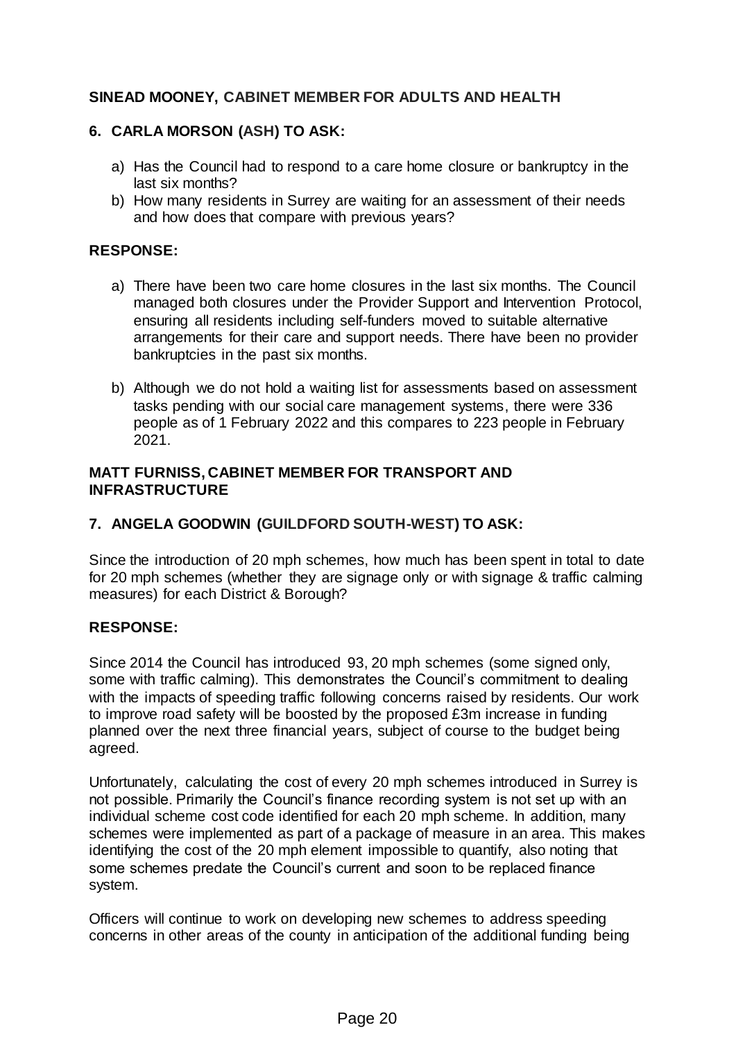# **SINEAD MOONEY, CABINET MEMBER FOR ADULTS AND HEALTH**

# **6. CARLA MORSON (ASH) TO ASK:**

- a) Has the Council had to respond to a care home closure or bankruptcy in the last six months?
- b) How many residents in Surrey are waiting for an assessment of their needs and how does that compare with previous years?

### **RESPONSE:**

- a) There have been two care home closures in the last six months. The Council managed both closures under the Provider Support and Intervention Protocol, ensuring all residents including self-funders moved to suitable alternative arrangements for their care and support needs. There have been no provider bankruptcies in the past six months.
- b) Although we do not hold a waiting list for assessments based on assessment tasks pending with our social care management systems, there were 336 people as of 1 February 2022 and this compares to 223 people in February 2021.

### **MATT FURNISS, CABINET MEMBER FOR TRANSPORT AND INFRASTRUCTURE**

# **7. ANGELA GOODWIN (GUILDFORD SOUTH-WEST) TO ASK:**

Since the introduction of 20 mph schemes, how much has been spent in total to date for 20 mph schemes (whether they are signage only or with signage & traffic calming measures) for each District & Borough?

#### **RESPONSE:**

Since 2014 the Council has introduced 93, 20 mph schemes (some signed only, some with traffic calming). This demonstrates the Council's commitment to dealing with the impacts of speeding traffic following concerns raised by residents. Our work to improve road safety will be boosted by the proposed £3m increase in funding planned over the next three financial years, subject of course to the budget being agreed.

Unfortunately, calculating the cost of every 20 mph schemes introduced in Surrey is not possible. Primarily the Council's finance recording system is not set up with an individual scheme cost code identified for each 20 mph scheme. In addition, many schemes were implemented as part of a package of measure in an area. This makes identifying the cost of the 20 mph element impossible to quantify, also noting that some schemes predate the Council's current and soon to be replaced finance system.

Officers will continue to work on developing new schemes to address speeding concerns in other areas of the county in anticipation of the additional funding being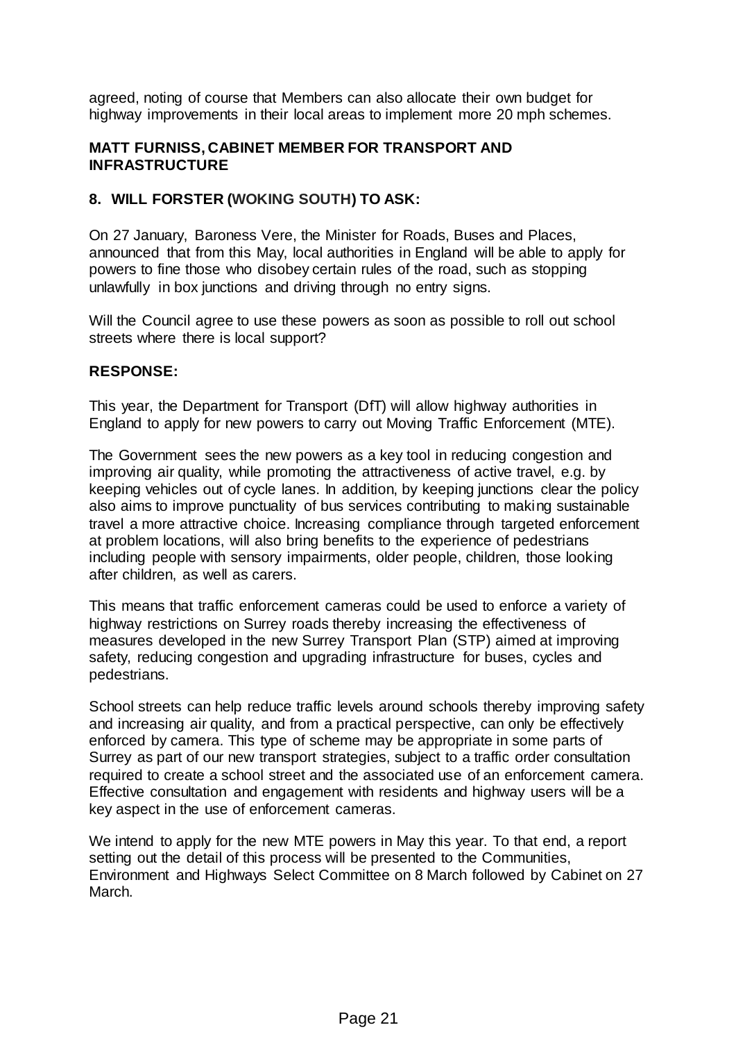agreed, noting of course that Members can also allocate their own budget for highway improvements in their local areas to implement more 20 mph schemes.

### **MATT FURNISS, CABINET MEMBER FOR TRANSPORT AND INFRASTRUCTURE**

### **8. WILL FORSTER (WOKING SOUTH) TO ASK:**

On 27 January, Baroness Vere, the Minister for Roads, Buses and Places, announced that from this May, local authorities in England will be able to apply for powers to fine those who disobey certain rules of the road, such as stopping unlawfully in box junctions and driving through no entry signs.

Will the Council agree to use these powers as soon as possible to roll out school streets where there is local support?

#### **RESPONSE:**

This year, the Department for Transport (DfT) will allow highway authorities in England to apply for new powers to carry out Moving Traffic Enforcement (MTE).

The Government sees the new powers as a key tool in reducing congestion and improving air quality, while promoting the attractiveness of active travel, e.g. by keeping vehicles out of cycle lanes. In addition, by keeping junctions clear the policy also aims to improve punctuality of bus services contributing to making sustainable travel a more attractive choice. Increasing compliance through targeted enforcement at problem locations, will also bring benefits to the experience of pedestrians including people with sensory impairments, older people, children, those looking after children, as well as carers.

This means that traffic enforcement cameras could be used to enforce a variety of highway restrictions on Surrey roads thereby increasing the effectiveness of measures developed in the new Surrey Transport Plan (STP) aimed at improving safety, reducing congestion and upgrading infrastructure for buses, cycles and pedestrians.

School streets can help reduce traffic levels around schools thereby improving safety and increasing air quality, and from a practical perspective, can only be effectively enforced by camera. This type of scheme may be appropriate in some parts of Surrey as part of our new transport strategies, subject to a traffic order consultation required to create a school street and the associated use of an enforcement camera. Effective consultation and engagement with residents and highway users will be a key aspect in the use of enforcement cameras.

We intend to apply for the new MTE powers in May this year. To that end, a report setting out the detail of this process will be presented to the Communities, Environment and Highways Select Committee on 8 March followed by Cabinet on 27 March.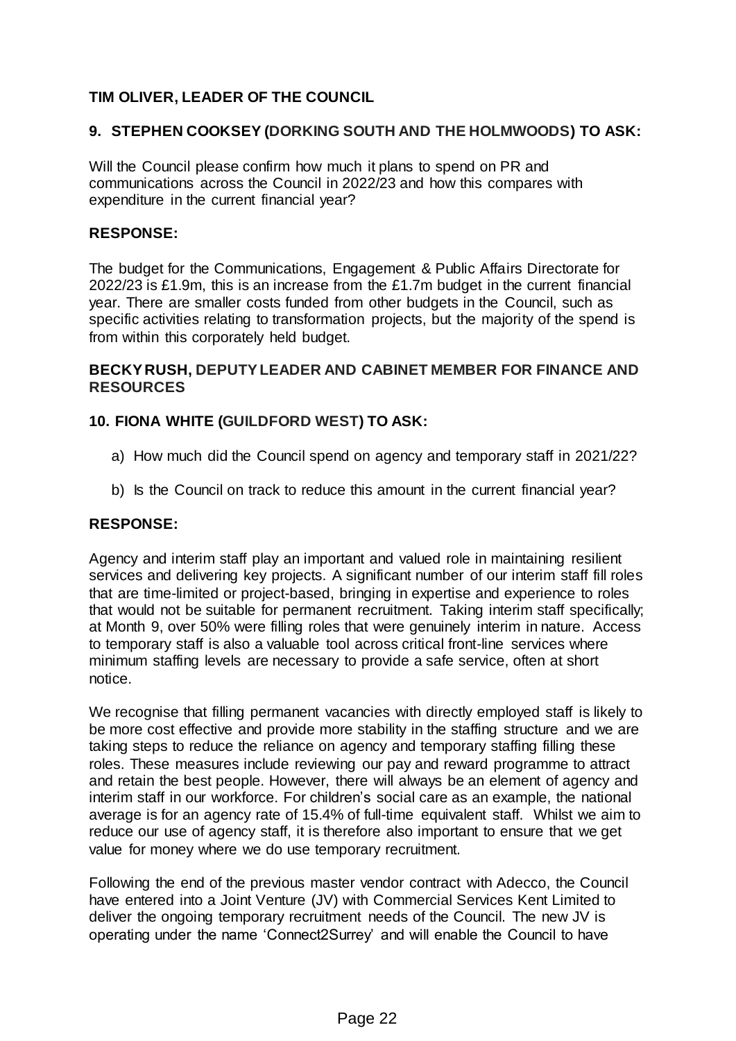# **TIM OLIVER, LEADER OF THE COUNCIL**

### **9. STEPHEN COOKSEY (DORKING SOUTH AND THE HOLMWOODS) TO ASK:**

Will the Council please confirm how much it plans to spend on PR and communications across the Council in 2022/23 and how this compares with expenditure in the current financial year?

### **RESPONSE:**

The budget for the Communications, Engagement & Public Affairs Directorate for 2022/23 is £1.9m, this is an increase from the £1.7m budget in the current financial year. There are smaller costs funded from other budgets in the Council, such as specific activities relating to transformation projects, but the majority of the spend is from within this corporately held budget.

### **BECKY RUSH, DEPUTY LEADER AND CABINET MEMBER FOR FINANCE AND RESOURCES**

### **10. FIONA WHITE (GUILDFORD WEST) TO ASK:**

- a) How much did the Council spend on agency and temporary staff in 2021/22?
- b) Is the Council on track to reduce this amount in the current financial year?

#### **RESPONSE:**

Agency and interim staff play an important and valued role in maintaining resilient services and delivering key projects. A significant number of our interim staff fill roles that are time-limited or project-based, bringing in expertise and experience to roles that would not be suitable for permanent recruitment. Taking interim staff specifically; at Month 9, over 50% were filling roles that were genuinely interim in nature. Access to temporary staff is also a valuable tool across critical front-line services where minimum staffing levels are necessary to provide a safe service, often at short notice.

We recognise that filling permanent vacancies with directly employed staff is likely to be more cost effective and provide more stability in the staffing structure and we are taking steps to reduce the reliance on agency and temporary staffing filling these roles. These measures include reviewing our pay and reward programme to attract and retain the best people. However, there will always be an element of agency and interim staff in our workforce. For children's social care as an example, the national average is for an agency rate of 15.4% of full-time equivalent staff. Whilst we aim to reduce our use of agency staff, it is therefore also important to ensure that we get value for money where we do use temporary recruitment.

Following the end of the previous master vendor contract with Adecco, the Council have entered into a Joint Venture (JV) with Commercial Services Kent Limited to deliver the ongoing temporary recruitment needs of the Council. The new JV is operating under the name 'Connect2Surrey' and will enable the Council to have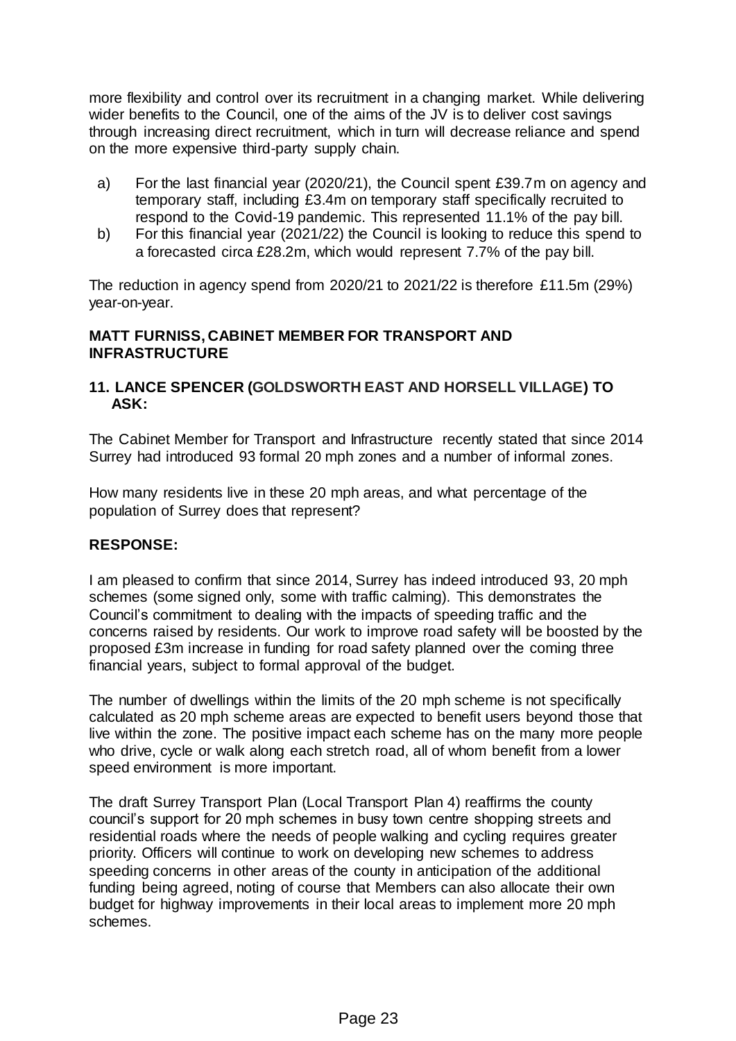more flexibility and control over its recruitment in a changing market. While delivering wider benefits to the Council, one of the aims of the JV is to deliver cost savings through increasing direct recruitment, which in turn will decrease reliance and spend on the more expensive third-party supply chain.

- a) For the last financial year (2020/21), the Council spent £39.7m on agency and temporary staff, including £3.4m on temporary staff specifically recruited to respond to the Covid-19 pandemic. This represented 11.1% of the pay bill.
- b) For this financial year (2021/22) the Council is looking to reduce this spend to a forecasted circa £28.2m, which would represent 7.7% of the pay bill.

The reduction in agency spend from 2020/21 to 2021/22 is therefore £11.5m (29%) year-on-year.

### **MATT FURNISS, CABINET MEMBER FOR TRANSPORT AND INFRASTRUCTURE**

### **11. LANCE SPENCER (GOLDSWORTH EAST AND HORSELL VILLAGE) TO ASK:**

The Cabinet Member for Transport and Infrastructure recently stated that since 2014 Surrey had introduced 93 formal 20 mph zones and a number of informal zones.

How many residents live in these 20 mph areas, and what percentage of the population of Surrey does that represent?

#### **RESPONSE:**

I am pleased to confirm that since 2014, Surrey has indeed introduced 93, 20 mph schemes (some signed only, some with traffic calming). This demonstrates the Council's commitment to dealing with the impacts of speeding traffic and the concerns raised by residents. Our work to improve road safety will be boosted by the proposed £3m increase in funding for road safety planned over the coming three financial years, subject to formal approval of the budget.

The number of dwellings within the limits of the 20 mph scheme is not specifically calculated as 20 mph scheme areas are expected to benefit users beyond those that live within the zone. The positive impact each scheme has on the many more people who drive, cycle or walk along each stretch road, all of whom benefit from a lower speed environment is more important.

The draft Surrey Transport Plan (Local Transport Plan 4) reaffirms the county council's support for 20 mph schemes in busy town centre shopping streets and residential roads where the needs of people walking and cycling requires greater priority. Officers will continue to work on developing new schemes to address speeding concerns in other areas of the county in anticipation of the additional funding being agreed, noting of course that Members can also allocate their own budget for highway improvements in their local areas to implement more 20 mph schemes.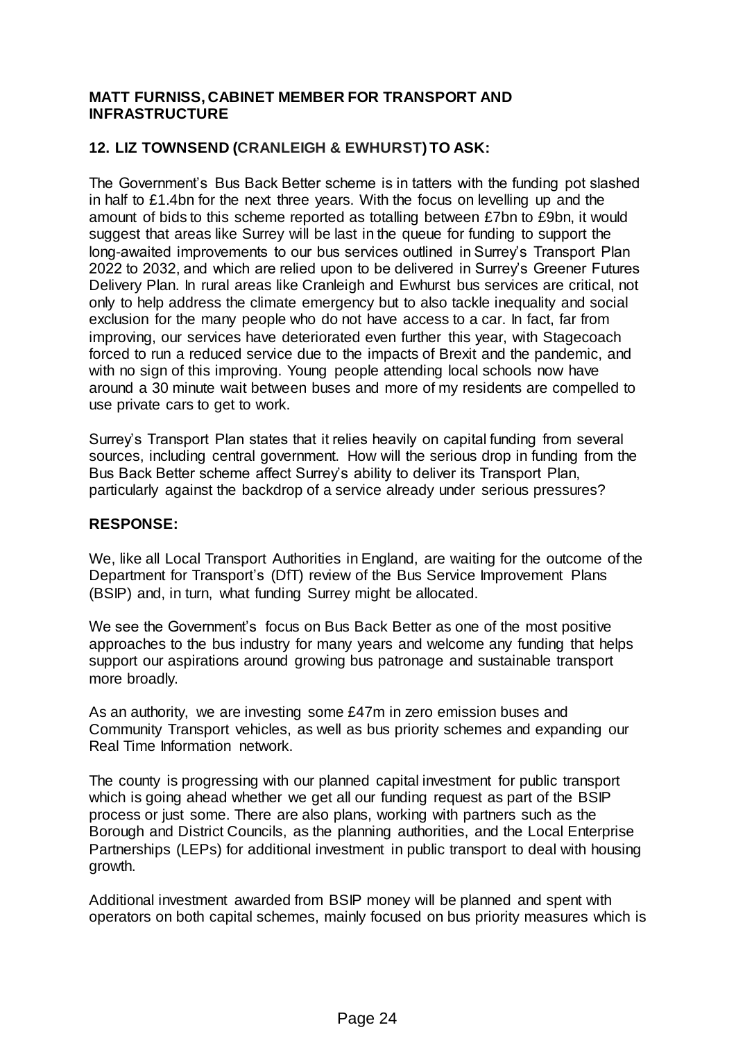### **MATT FURNISS, CABINET MEMBER FOR TRANSPORT AND INFRASTRUCTURE**

# **12. LIZ TOWNSEND (CRANLEIGH & EWHURST) TO ASK:**

The Government's Bus Back Better scheme is in tatters with the funding pot slashed in half to £1.4bn for the next three years. With the focus on levelling up and the amount of bids to this scheme reported as totalling between £7bn to £9bn, it would suggest that areas like Surrey will be last in the queue for funding to support the long-awaited improvements to our bus services outlined in Surrey's Transport Plan 2022 to 2032, and which are relied upon to be delivered in Surrey's Greener Futures Delivery Plan. In rural areas like Cranleigh and Ewhurst bus services are critical, not only to help address the climate emergency but to also tackle inequality and social exclusion for the many people who do not have access to a car. In fact, far from improving, our services have deteriorated even further this year, with Stagecoach forced to run a reduced service due to the impacts of Brexit and the pandemic, and with no sign of this improving. Young people attending local schools now have around a 30 minute wait between buses and more of my residents are compelled to use private cars to get to work.

Surrey's Transport Plan states that it relies heavily on capital funding from several sources, including central government. How will the serious drop in funding from the Bus Back Better scheme affect Surrey's ability to deliver its Transport Plan, particularly against the backdrop of a service already under serious pressures?

### **RESPONSE:**

We, like all Local Transport Authorities in England, are waiting for the outcome of the Department for Transport's (DfT) review of the Bus Service Improvement Plans (BSIP) and, in turn, what funding Surrey might be allocated.

We see the Government's focus on Bus Back Better as one of the most positive approaches to the bus industry for many years and welcome any funding that helps support our aspirations around growing bus patronage and sustainable transport more broadly.

As an authority, we are investing some £47m in zero emission buses and Community Transport vehicles, as well as bus priority schemes and expanding our Real Time Information network.

The county is progressing with our planned capital investment for public transport which is going ahead whether we get all our funding request as part of the BSIP process or just some. There are also plans, working with partners such as the Borough and District Councils, as the planning authorities, and the Local Enterprise Partnerships (LEPs) for additional investment in public transport to deal with housing growth.

Additional investment awarded from BSIP money will be planned and spent with operators on both capital schemes, mainly focused on bus priority measures which is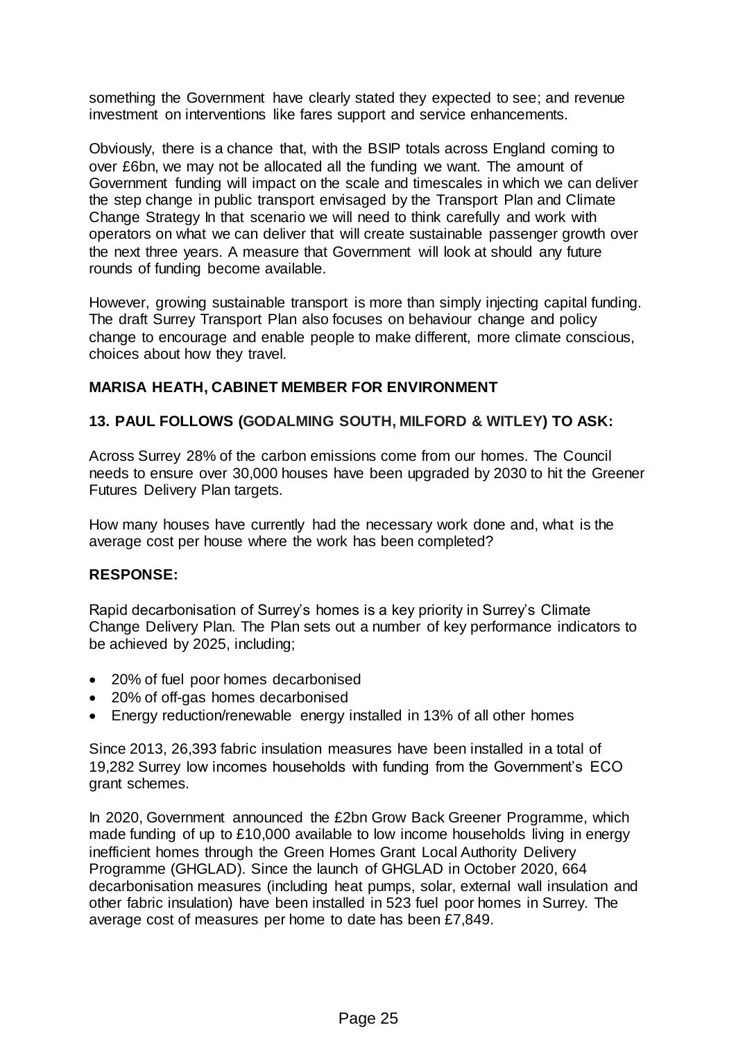something the Government have clearly stated they expected to see; and revenue investment on interventions like fares support and service enhancements.

Obviously, there is a chance that, with the BSIP totals across England coming to over £6bn, we may not be allocated all the funding we want. The amount of Government funding will impact on the scale and timescales in which we can deliver the step change in public transport envisaged by the Transport Plan and Climate Change Strategy In that scenario we will need to think carefully and work with operators on what we can deliver that will create sustainable passenger growth over the next three years. A measure that Government will look at should any future rounds of funding become available.

However, growing sustainable transport is more than simply injecting capital funding. The draft Surrey Transport Plan also focuses on behaviour change and policy change to encourage and enable people to make different, more climate conscious, choices about how they travel.

### **MARISA HEATH, CABINET MEMBER FOR ENVIRONMENT**

### **13. PAUL FOLLOWS (GODALMING SOUTH, MILFORD & WITLEY) TO ASK:**

Across Surrey 28% of the carbon emissions come from our homes. The Council needs to ensure over 30,000 houses have been upgraded by 2030 to hit the Greener Futures Delivery Plan targets.

How many houses have currently had the necessary work done and, what is the average cost per house where the work has been completed?

#### **RESPONSE:**

Rapid decarbonisation of Surrey's homes is a key priority in Surrey's Climate Change Delivery Plan. The Plan sets out a number of key performance indicators to be achieved by 2025, including;

- 20% of fuel poor homes decarbonised
- 20% of off-gas homes decarbonised
- Energy reduction/renewable energy installed in 13% of all other homes

Since 2013, 26,393 fabric insulation measures have been installed in a total of 19,282 Surrey low incomes households with funding from the Government's ECO grant schemes.

In 2020, Government announced the £2bn Grow Back Greener Programme, which made funding of up to £10,000 available to low income households living in energy inefficient homes through the Green Homes Grant Local Authority Delivery Programme (GHGLAD). Since the launch of GHGLAD in October 2020, 664 decarbonisation measures (including heat pumps, solar, external wall insulation and other fabric insulation) have been installed in 523 fuel poor homes in Surrey. The average cost of measures per home to date has been £7,849.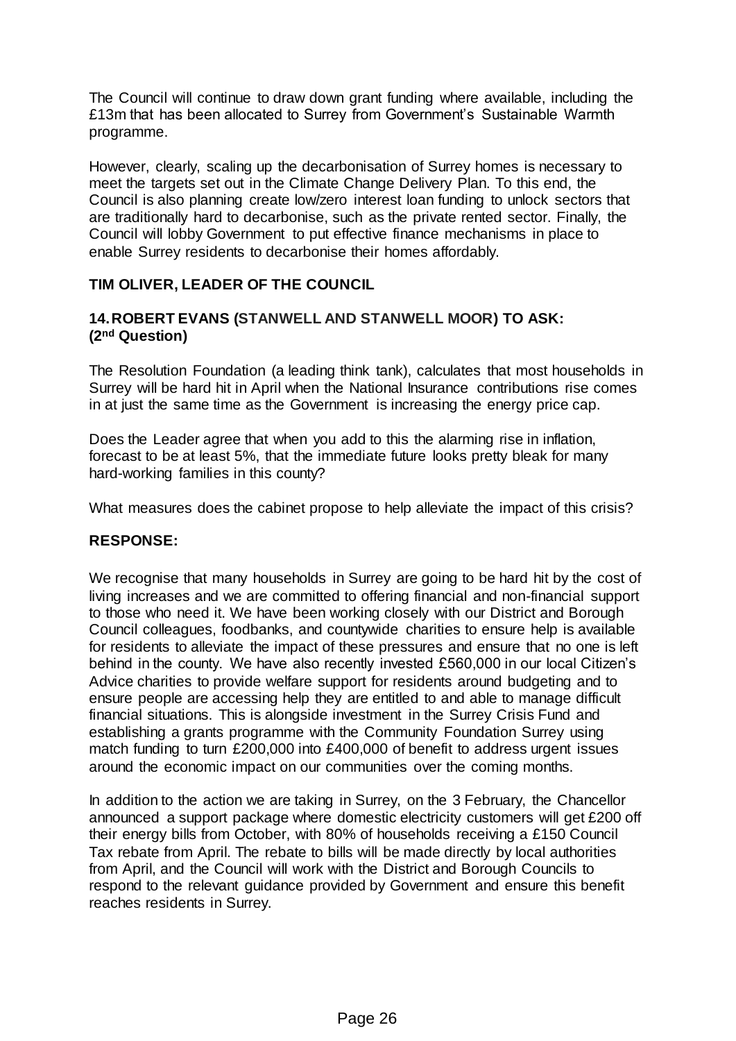The Council will continue to draw down grant funding where available, including the £13m that has been allocated to Surrey from Government's Sustainable Warmth programme.

However, clearly, scaling up the decarbonisation of Surrey homes is necessary to meet the targets set out in the Climate Change Delivery Plan. To this end, the Council is also planning create low/zero interest loan funding to unlock sectors that are traditionally hard to decarbonise, such as the private rented sector. Finally, the Council will lobby Government to put effective finance mechanisms in place to enable Surrey residents to decarbonise their homes affordably.

### **TIM OLIVER, LEADER OF THE COUNCIL**

### **14.ROBERT EVANS (STANWELL AND STANWELL MOOR) TO ASK: (2nd Question)**

The Resolution Foundation (a leading think tank), calculates that most households in Surrey will be hard hit in April when the National Insurance contributions rise comes in at just the same time as the Government is increasing the energy price cap.

Does the Leader agree that when you add to this the alarming rise in inflation, forecast to be at least 5%, that the immediate future looks pretty bleak for many hard-working families in this county?

What measures does the cabinet propose to help alleviate the impact of this crisis?

#### **RESPONSE:**

We recognise that many households in Surrey are going to be hard hit by the cost of living increases and we are committed to offering financial and non-financial support to those who need it. We have been working closely with our District and Borough Council colleagues, foodbanks, and countywide charities to ensure help is available for residents to alleviate the impact of these pressures and ensure that no one is left behind in the county. We have also recently invested £560,000 in our local Citizen's Advice charities to provide welfare support for residents around budgeting and to ensure people are accessing help they are entitled to and able to manage difficult financial situations. This is alongside investment in the Surrey Crisis Fund and establishing a grants programme with the Community Foundation Surrey using match funding to turn £200,000 into £400,000 of benefit to address urgent issues around the economic impact on our communities over the coming months.

In addition to the action we are taking in Surrey, on the 3 February, the Chancellor announced a support package where domestic electricity customers will get £200 off their energy bills from October, with 80% of households receiving a £150 Council Tax rebate from April. The rebate to bills will be made directly by local authorities from April, and the Council will work with the District and Borough Councils to respond to the relevant guidance provided by Government and ensure this benefit reaches residents in Surrey.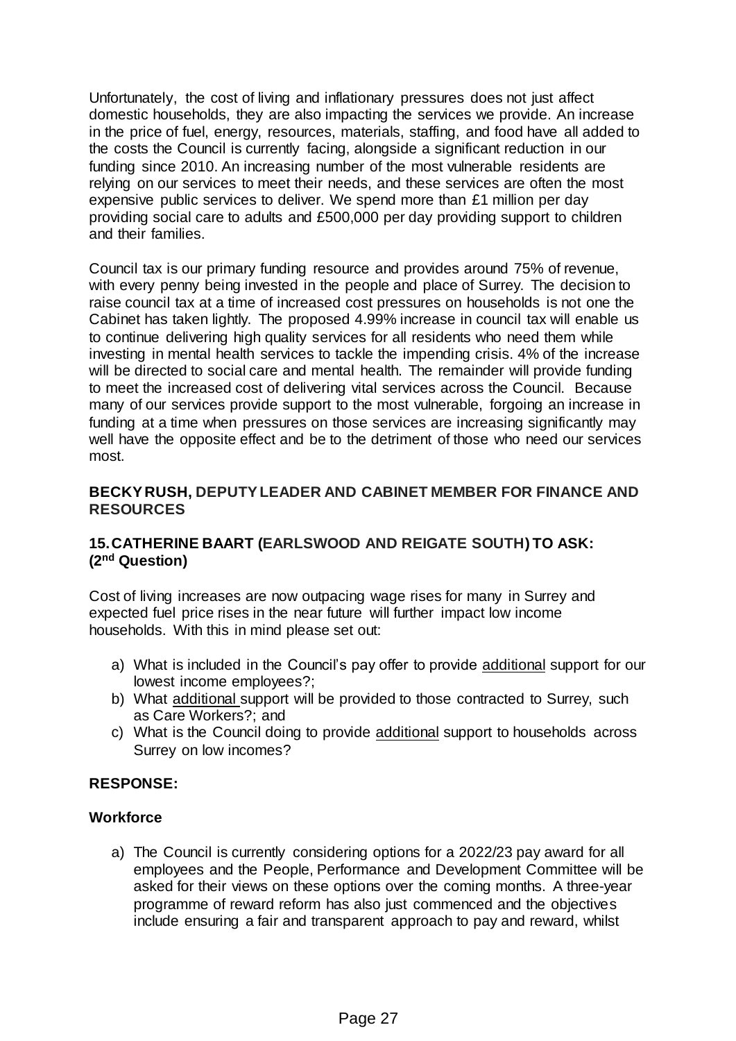Unfortunately, the cost of living and inflationary pressures does not just affect domestic households, they are also impacting the services we provide. An increase in the price of fuel, energy, resources, materials, staffing, and food have all added to the costs the Council is currently facing, alongside a significant reduction in our funding since 2010. An increasing number of the most vulnerable residents are relying on our services to meet their needs, and these services are often the most expensive public services to deliver. We spend more than £1 million per day providing social care to adults and £500,000 per day providing support to children and their families.

Council tax is our primary funding resource and provides around 75% of revenue, with every penny being invested in the people and place of Surrey. The decision to raise council tax at a time of increased cost pressures on households is not one the Cabinet has taken lightly. The proposed 4.99% increase in council tax will enable us to continue delivering high quality services for all residents who need them while investing in mental health services to tackle the impending crisis. 4% of the increase will be directed to social care and mental health. The remainder will provide funding to meet the increased cost of delivering vital services across the Council. Because many of our services provide support to the most vulnerable, forgoing an increase in funding at a time when pressures on those services are increasing significantly may well have the opposite effect and be to the detriment of those who need our services most.

### **BECKY RUSH, DEPUTY LEADER AND CABINET MEMBER FOR FINANCE AND RESOURCES**

# **15.CATHERINE BAART (EARLSWOOD AND REIGATE SOUTH) TO ASK: (2nd Question)**

Cost of living increases are now outpacing wage rises for many in Surrey and expected fuel price rises in the near future will further impact low income households. With this in mind please set out:

- a) What is included in the Council's pay offer to provide additional support for our lowest income employees?;
- b) What additional support will be provided to those contracted to Surrey, such as Care Workers?; and
- c) What is the Council doing to provide additional support to households across Surrey on low incomes?

#### **RESPONSE:**

#### **Workforce**

a) The Council is currently considering options for a 2022/23 pay award for all employees and the People, Performance and Development Committee will be asked for their views on these options over the coming months. A three-year programme of reward reform has also just commenced and the objectives include ensuring a fair and transparent approach to pay and reward, whilst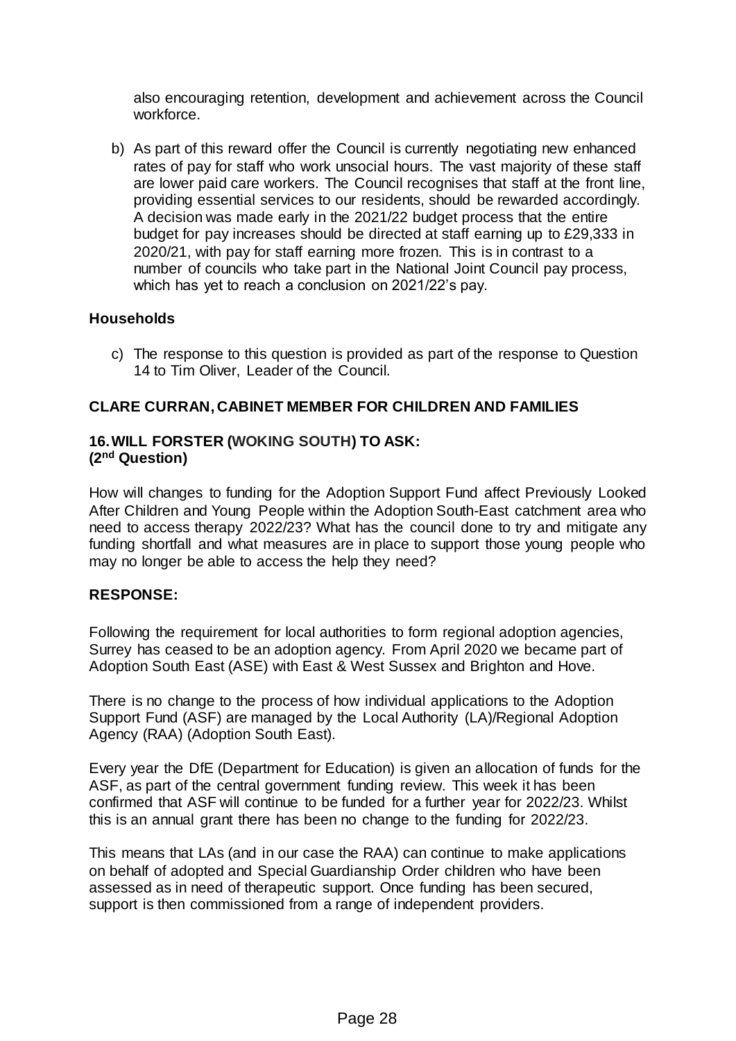also encouraging retention, development and achievement across the Council workforce.

b) As part of this reward offer the Council is currently negotiating new enhanced rates of pay for staff who work unsocial hours. The vast majority of these staff are lower paid care workers. The Council recognises that staff at the front line, providing essential services to our residents, should be rewarded accordingly. A decision was made early in the 2021/22 budget process that the entire budget for pay increases should be directed at staff earning up to £29,333 in 2020/21, with pay for staff earning more frozen. This is in contrast to a number of councils who take part in the National Joint Council pay process, which has yet to reach a conclusion on 2021/22's pay.

### **Households**

c) The response to this question is provided as part of the response to Question 14 to Tim Oliver, Leader of the Council.

### **CLARE CURRAN, CABINET MEMBER FOR CHILDREN AND FAMILIES**

#### **16.WILL FORSTER (WOKING SOUTH) TO ASK: (2nd Question)**

How will changes to funding for the Adoption Support Fund affect Previously Looked After Children and Young People within the Adoption South-East catchment area who need to access therapy 2022/23? What has the council done to try and mitigate any funding shortfall and what measures are in place to support those young people who may no longer be able to access the help they need?

#### **RESPONSE:**

Following the requirement for local authorities to form regional adoption agencies, Surrey has ceased to be an adoption agency. From April 2020 we became part of Adoption South East (ASE) with East & West Sussex and Brighton and Hove.

There is no change to the process of how individual applications to the Adoption Support Fund (ASF) are managed by the Local Authority (LA)/Regional Adoption Agency (RAA) (Adoption South East).

Every year the DfE (Department for Education) is given an allocation of funds for the ASF, as part of the central government funding review. This week it has been confirmed that ASF will continue to be funded for a further year for 2022/23. Whilst this is an annual grant there has been no change to the funding for 2022/23.

This means that LAs (and in our case the RAA) can continue to make applications on behalf of adopted and Special Guardianship Order children who have been assessed as in need of therapeutic support. Once funding has been secured, support is then commissioned from a range of independent providers.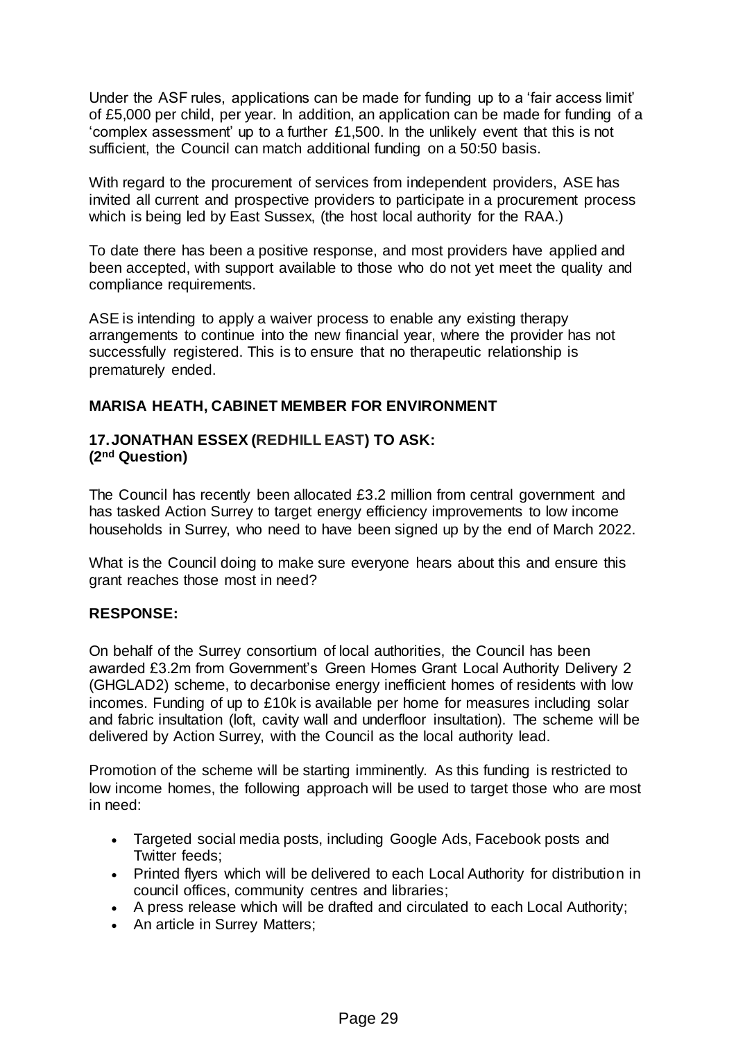Under the ASF rules, applications can be made for funding up to a 'fair access limit' of £5,000 per child, per year. In addition, an application can be made for funding of a 'complex assessment' up to a further £1,500. In the unlikely event that this is not sufficient, the Council can match additional funding on a 50:50 basis.

With regard to the procurement of services from independent providers, ASE has invited all current and prospective providers to participate in a procurement process which is being led by East Sussex, (the host local authority for the RAA.)

To date there has been a positive response, and most providers have applied and been accepted, with support available to those who do not yet meet the quality and compliance requirements.

ASE is intending to apply a waiver process to enable any existing therapy arrangements to continue into the new financial year, where the provider has not successfully registered. This is to ensure that no therapeutic relationship is prematurely ended.

#### **MARISA HEATH, CABINET MEMBER FOR ENVIRONMENT**

### **17.JONATHAN ESSEX (REDHILL EAST) TO ASK: (2nd Question)**

The Council has recently been allocated £3.2 million from central government and has tasked Action Surrey to target energy efficiency improvements to low income households in Surrey, who need to have been signed up by the end of March 2022.

What is the Council doing to make sure everyone hears about this and ensure this grant reaches those most in need?

# **RESPONSE:**

On behalf of the Surrey consortium of local authorities, the Council has been awarded £3.2m from Government's Green Homes Grant Local Authority Delivery 2 (GHGLAD2) scheme, to decarbonise energy inefficient homes of residents with low incomes. Funding of up to £10k is available per home for measures including solar and fabric insultation (loft, cavity wall and underfloor insultation). The scheme will be delivered by Action Surrey, with the Council as the local authority lead.

Promotion of the scheme will be starting imminently. As this funding is restricted to low income homes, the following approach will be used to target those who are most in need:

- Targeted social media posts, including Google Ads, Facebook posts and Twitter feeds;
- Printed flyers which will be delivered to each Local Authority for distribution in council offices, community centres and libraries;
- A press release which will be drafted and circulated to each Local Authority;
- An article in Surrey Matters;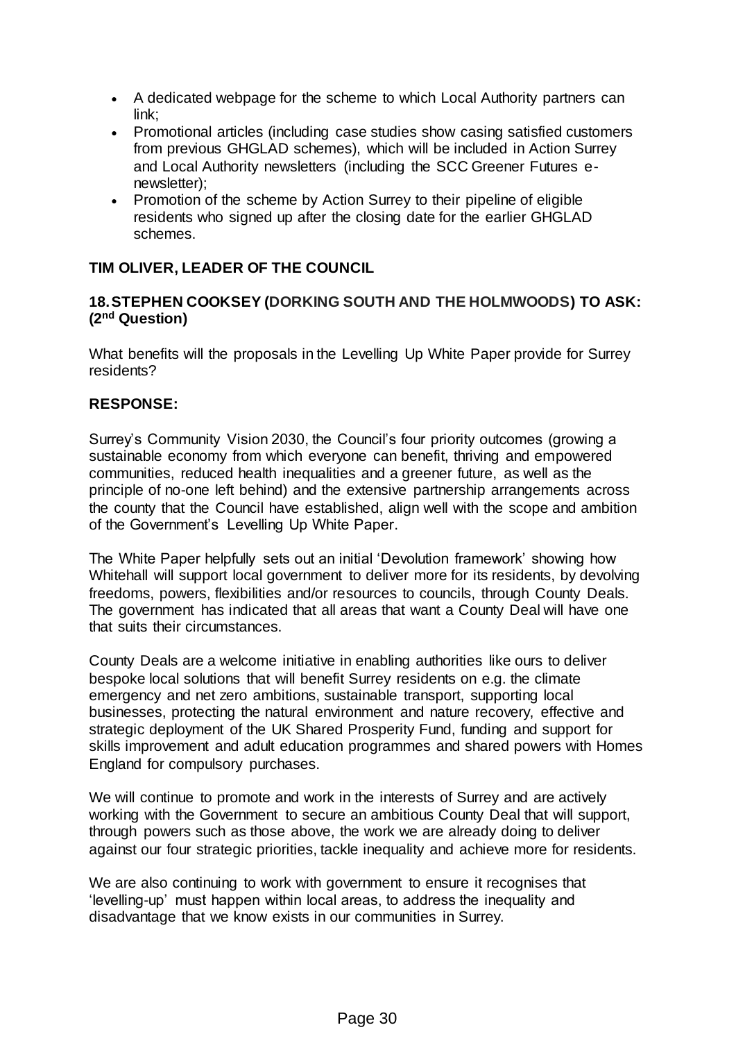- A dedicated webpage for the scheme to which Local Authority partners can link;
- Promotional articles (including case studies show casing satisfied customers from previous GHGLAD schemes), which will be included in Action Surrey and Local Authority newsletters (including the SCC Greener Futures enewsletter);
- Promotion of the scheme by Action Surrey to their pipeline of eligible residents who signed up after the closing date for the earlier GHGLAD schemes.

# **TIM OLIVER, LEADER OF THE COUNCIL**

### **18.STEPHEN COOKSEY (DORKING SOUTH AND THE HOLMWOODS) TO ASK: (2nd Question)**

What benefits will the proposals in the Levelling Up White Paper provide for Surrey residents?

### **RESPONSE:**

Surrey's Community Vision 2030, the Council's four priority outcomes (growing a sustainable economy from which everyone can benefit, thriving and empowered communities, reduced health inequalities and a greener future, as well as the principle of no-one left behind) and the extensive partnership arrangements across the county that the Council have established, align well with the scope and ambition of the Government's Levelling Up White Paper.

The White Paper helpfully sets out an initial 'Devolution framework' showing how Whitehall will support local government to deliver more for its residents, by devolving freedoms, powers, flexibilities and/or resources to councils, through County Deals. The government has indicated that all areas that want a County Deal will have one that suits their circumstances.

County Deals are a welcome initiative in enabling authorities like ours to deliver bespoke local solutions that will benefit Surrey residents on e.g. the climate emergency and net zero ambitions, sustainable transport, supporting local businesses, protecting the natural environment and nature recovery, effective and strategic deployment of the UK Shared Prosperity Fund, funding and support for skills improvement and adult education programmes and shared powers with Homes England for compulsory purchases.

We will continue to promote and work in the interests of Surrey and are actively working with the Government to secure an ambitious County Deal that will support, through powers such as those above, the work we are already doing to deliver against our four strategic priorities, tackle inequality and achieve more for residents.

We are also continuing to work with government to ensure it recognises that 'levelling-up' must happen within local areas, to address the inequality and disadvantage that we know exists in our communities in Surrey.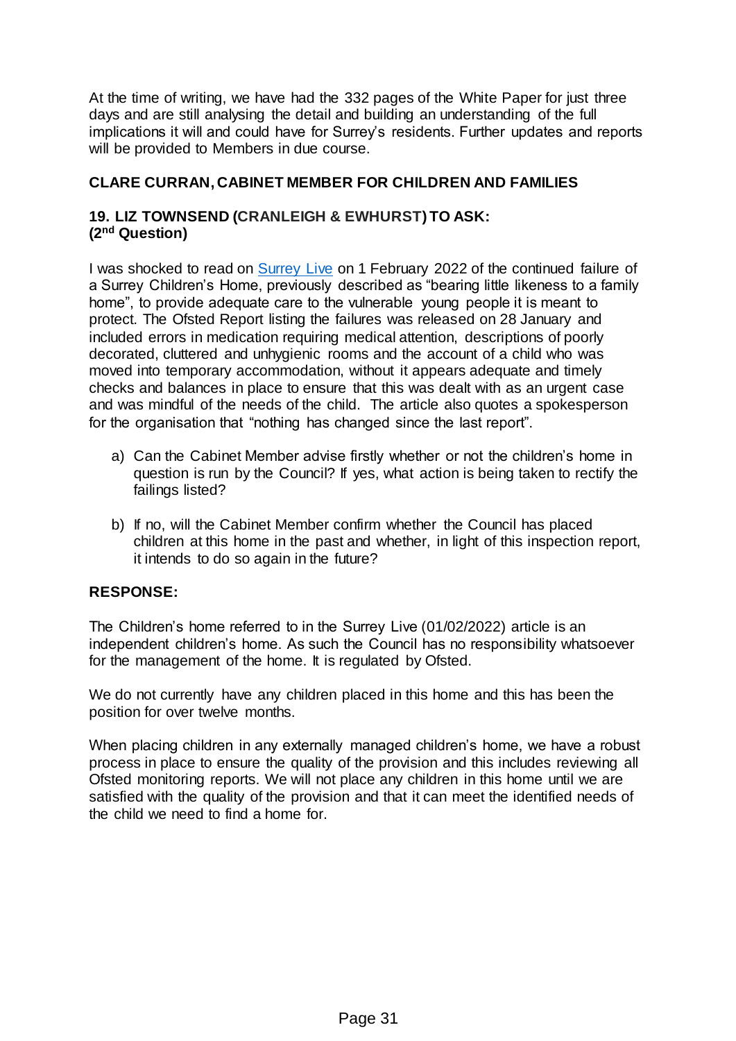At the time of writing, we have had the 332 pages of the White Paper for just three days and are still analysing the detail and building an understanding of the full implications it will and could have for Surrey's residents. Further updates and reports will be provided to Members in due course.

### **CLARE CURRAN, CABINET MEMBER FOR CHILDREN AND FAMILIES**

### **19. LIZ TOWNSEND (CRANLEIGH & EWHURST) TO ASK: (2nd Question)**

I was shocked to read on [Surrey Live](https://www.getsurrey.co.uk/news/surrey-news/surrey-childrens-home-failings-led-22945365) on 1 February 2022 of the continued failure of a Surrey Children's Home, previously described as "bearing little likeness to a family home", to provide adequate care to the vulnerable young people it is meant to protect. The Ofsted Report listing the failures was released on 28 January and included errors in medication requiring medical attention, descriptions of poorly decorated, cluttered and unhygienic rooms and the account of a child who was moved into temporary accommodation, without it appears adequate and timely checks and balances in place to ensure that this was dealt with as an urgent case and was mindful of the needs of the child. The article also quotes a spokesperson for the organisation that "nothing has changed since the last report".

- a) Can the Cabinet Member advise firstly whether or not the children's home in question is run by the Council? If yes, what action is being taken to rectify the failings listed?
- b) If no, will the Cabinet Member confirm whether the Council has placed children at this home in the past and whether, in light of this inspection report, it intends to do so again in the future?

# **RESPONSE:**

The Children's home referred to in the Surrey Live (01/02/2022) article is an independent children's home. As such the Council has no responsibility whatsoever for the management of the home. It is regulated by Ofsted.

We do not currently have any children placed in this home and this has been the position for over twelve months.

When placing children in any externally managed children's home, we have a robust process in place to ensure the quality of the provision and this includes reviewing all Ofsted monitoring reports. We will not place any children in this home until we are satisfied with the quality of the provision and that it can meet the identified needs of the child we need to find a home for.